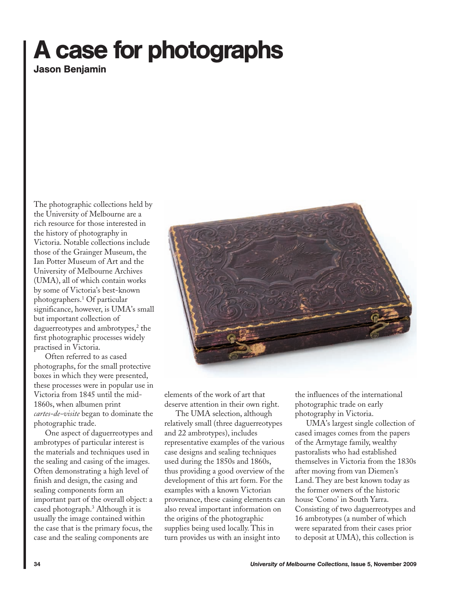## **A case for photographs**

**Jason Benjamin**

The photographic collections held by the University of Melbourne are a rich resource for those interested in the history of photography in Victoria. Notable collections include those of the Grainger Museum, the Ian Potter Museum of Art and the University of Melbourne Archives (UMA), all of which contain works by some of Victoria's best-known photographers.1 Of particular significance, however, is UMA's small but important collection of daguerreotypes and ambrotypes, $2$  the first photographic processes widely practised in Victoria.

Often referred to as cased photographs, for the small protective boxes in which they were presented, these processes were in popular use in Victoria from 1845 until the mid-1860s, when albumen print *cartes-de-visite* began to dominate the photographic trade.

One aspect of daguerreotypes and ambrotypes of particular interest is the materials and techniques used in the sealing and casing of the images. Often demonstrating a high level of finish and design, the casing and sealing components form an important part of the overall object: a cased photograph.3 Although it is usually the image contained within the case that is the primary focus, the case and the sealing components are



elements of the work of art that deserve attention in their own right.

The UMA selection, although relatively small (three daguerreotypes and 22 ambrotypes), includes representative examples of the various case designs and sealing techniques used during the 1850s and 1860s, thus providing a good overview of the development of this art form. For the examples with a known Victorian provenance, these casing elements can also reveal important information on the origins of the photographic supplies being used locally. This in turn provides us with an insight into

the influences of the international photographic trade on early photography in Victoria.

UMA's largest single collection of cased images comes from the papers of the Armytage family, wealthy pastoralists who had established themselves in Victoria from the 1830s after moving from van Diemen's Land. They are best known today as the former owners of the historic house 'Como' in South Yarra. Consisting of two daguerreotypes and 16 ambrotypes (a number of which were separated from their cases prior to deposit at UMA), this collection is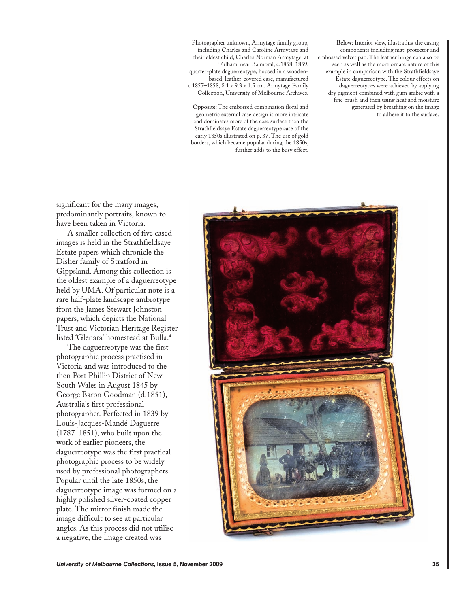Photographer unknown, Armytage family group, including Charles and Caroline Armytage and their eldest child, Charles Norman Armytage, at 'Fulham' near Balmoral, c.1858–1859, quarter-plate daguerreotype, housed in a woodenbased, leather-covered case, manufactured c.1857–1858, 8.1 x 9.3 x 1.5 cm. Armytage Family Collection, University of Melbourne Archives.

**Opposite**: The embossed combination floral and geometric external case design is more intricate and dominates more of the case surface than the Strathfieldsaye Estate daguerreotype case of the early 1850s illustrated on p. 37. The use of gold borders, which became popular during the 1850s, further adds to the busy effect.

**Below**: Interior view, illustrating the casing components including mat, protector and embossed velvet pad. The leather hinge can also be seen as well as the more ornate nature of this example in comparison with the Strathfieldsaye Estate daguerreotype. The colour effects on daguerreotypes were achieved by applying dry pigment combined with gum arabic with a fine brush and then using heat and moisture generated by breathing on the image to adhere it to the surface.

significant for the many images, predominantly portraits, known to have been taken in Victoria.

A smaller collection of five cased images is held in the Strathfieldsaye Estate papers which chronicle the Disher family of Stratford in Gippsland. Among this collection is the oldest example of a daguerreotype held by UMA. Of particular note is a rare half-plate landscape ambrotype from the James Stewart Johnston papers, which depicts the National Trust and Victorian Heritage Register listed 'Glenara' homestead at Bulla.4

The daguerreotype was the first photographic process practised in Victoria and was introduced to the then Port Phillip District of New South Wales in August 1845 by George Baron Goodman (d.1851), Australia's first professional photographer. Perfected in 1839 by Louis-Jacques-Mandé Daguerre (1787–1851), who built upon the work of earlier pioneers, the daguerreotype was the first practical photographic process to be widely used by professional photographers. Popular until the late 1850s, the daguerreotype image was formed on a highly polished silver-coated copper plate. The mirror finish made the image difficult to see at particular angles. As this process did not utilise a negative, the image created was

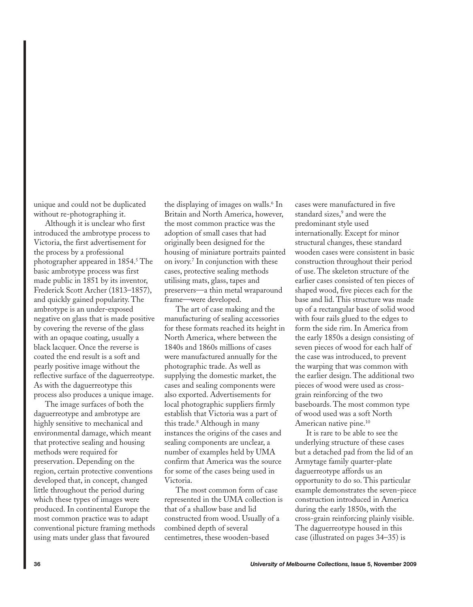unique and could not be duplicated without re-photographing it.

Although it is unclear who first introduced the ambrotype process to Victoria, the first advertisement for the process by a professional photographer appeared in 1854.<sup>5</sup> The basic ambrotype process was first made public in 1851 by its inventor, Frederick Scott Archer (1813–1857), and quickly gained popularity. The ambrotype is an under-exposed negative on glass that is made positive by covering the reverse of the glass with an opaque coating, usually a black lacquer. Once the reverse is coated the end result is a soft and pearly positive image without the reflective surface of the daguerreotype. As with the daguerreotype this process also produces a unique image.

The image surfaces of both the daguerreotype and ambrotype are highly sensitive to mechanical and environmental damage, which meant that protective sealing and housing methods were required for preservation. Depending on the region, certain protective conventions developed that, in concept, changed little throughout the period during which these types of images were produced. In continental Europe the most common practice was to adapt conventional picture framing methods using mats under glass that favoured

the displaying of images on walls.<sup>6</sup> In Britain and North America, however, the most common practice was the adoption of small cases that had originally been designed for the housing of miniature portraits painted on ivory.7 In conjunction with these cases, protective sealing methods utilising mats, glass, tapes and preservers—a thin metal wraparound frame—were developed.

The art of case making and the manufacturing of sealing accessories for these formats reached its height in North America, where between the 1840s and 1860s millions of cases were manufactured annually for the photographic trade. As well as supplying the domestic market, the cases and sealing components were also exported. Advertisements for local photographic suppliers firmly establish that Victoria was a part of this trade.8 Although in many instances the origins of the cases and sealing components are unclear, a number of examples held by UMA confirm that America was the source for some of the cases being used in Victoria.

The most common form of case represented in the UMA collection is that of a shallow base and lid constructed from wood. Usually of a combined depth of several centimetres, these wooden-based

cases were manufactured in five standard sizes,<sup>9</sup> and were the predominant style used internationally. Except for minor structural changes, these standard wooden cases were consistent in basic construction throughout their period of use. The skeleton structure of the earlier cases consisted of ten pieces of shaped wood, five pieces each for the base and lid. This structure was made up of a rectangular base of solid wood with four rails glued to the edges to form the side rim. In America from the early 1850s a design consisting of seven pieces of wood for each half of the case was introduced, to prevent the warping that was common with the earlier design. The additional two pieces of wood were used as crossgrain reinforcing of the two baseboards. The most common type of wood used was a soft North American native pine.<sup>10</sup>

It is rare to be able to see the underlying structure of these cases but a detached pad from the lid of an Armytage family quarter-plate daguerreotype affords us an opportunity to do so. This particular example demonstrates the seven-piece construction introduced in America during the early 1850s, with the cross-grain reinforcing plainly visible. The daguerreotype housed in this case (illustrated on pages 34–35) is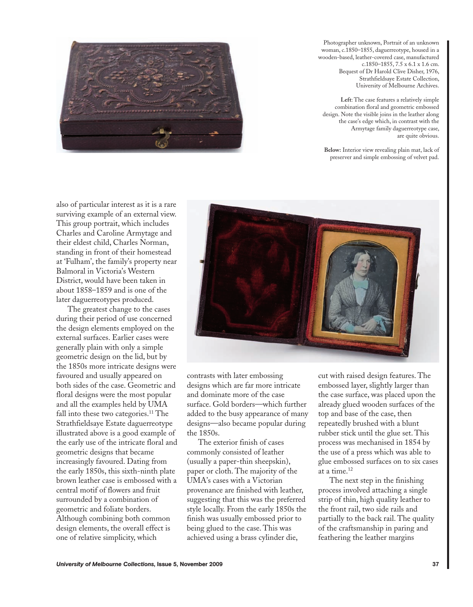

Photographer unknown, Portrait of an unknown woman, c.1850–1855, daguerreotype, housed in a wooden-based, leather-covered case, manufactured c.1850–1855, 7.5 x 6.1 x 1.6 cm. Bequest of Dr Harold Clive Disher, 1976, Strathfieldsaye Estate Collection, University of Melbourne Archives.

**Left**: The case features a relatively simple combination floral and geometric embossed design. Note the visible joins in the leather along the case's edge which, in contrast with the Armytage family daguerreotype case, are quite obvious.

**Below:** Interior view revealing plain mat, lack of preserver and simple embossing of velvet pad.

also of particular interest as it is a rare surviving example of an external view. This group portrait, which includes Charles and Caroline Armytage and their eldest child, Charles Norman, standing in front of their homestead at 'Fulham', the family's property near Balmoral in Victoria's Western District, would have been taken in about 1858–1859 and is one of the later daguerreotypes produced.

The greatest change to the cases during their period of use concerned the design elements employed on the external surfaces. Earlier cases were generally plain with only a simple geometric design on the lid, but by the 1850s more intricate designs were favoured and usually appeared on both sides of the case. Geometric and floral designs were the most popular and all the examples held by UMA fall into these two categories.<sup>11</sup> The Strathfieldsaye Estate daguerreotype illustrated above is a good example of the early use of the intricate floral and geometric designs that became increasingly favoured. Dating from the early 1850s, this sixth-ninth plate brown leather case is embossed with a central motif of flowers and fruit surrounded by a combination of geometric and foliate borders. Although combining both common design elements, the overall effect is one of relative simplicity, which



contrasts with later embossing designs which are far more intricate and dominate more of the case surface. Gold borders—which further added to the busy appearance of many designs—also became popular during the 1850s.

The exterior finish of cases commonly consisted of leather (usually a paper-thin sheepskin), paper or cloth. The majority of the UMA's cases with a Victorian provenance are finished with leather, suggesting that this was the preferred style locally. From the early 1850s the finish was usually embossed prior to being glued to the case. This was achieved using a brass cylinder die,

cut with raised design features. The embossed layer, slightly larger than the case surface, was placed upon the already glued wooden surfaces of the top and base of the case, then repeatedly brushed with a blunt rubber stick until the glue set. This process was mechanised in 1854 by the use of a press which was able to glue embossed surfaces on to six cases at a time.12

The next step in the finishing process involved attaching a single strip of thin, high quality leather to the front rail, two side rails and partially to the back rail. The quality of the craftsmanship in paring and feathering the leather margins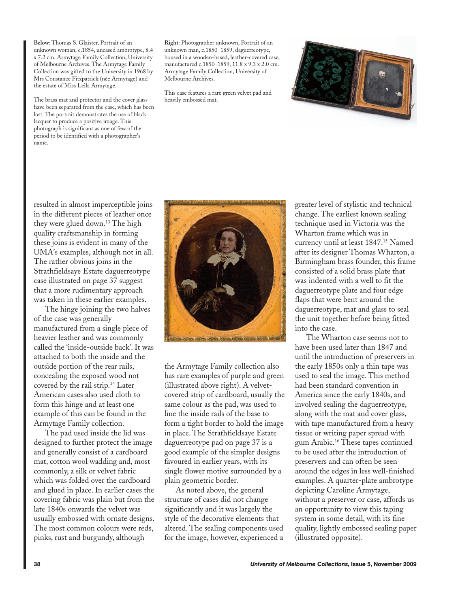**Below**: Thomas S. Glaister, Portrait of an unknown woman, c.1854, uncased ambrotype, 8.4 x 7.2 cm. Armytage Family Collection, University of Melbourne Archives. The Armytage Family Collection was gifted to the University in 1968 by Mrs Constance Fitzpatrick (née Armytage) and the estate of Miss Leila Armytage.

The brass mat and protector and the cover glass have been separated from the case, which has been lost. The portrait demonstrates the use of black lacquer to produce a positive image. This photograph is significant as one of few of the period to be identified with a photographer's name.

**Right**: Photographer unknown, Portrait of an unknown man, c.1850–1859, daguerreotype, housed in a wooden-based, leather-covered case, manufactured c.1850–1859, 11.8 x 9.3 x 2.0 cm. Armytage Family Collection, University of Melbourne Archives.

This case features a rare green velvet pad and heavily embossed mat.



resulted in almost imperceptible joins in the different pieces of leather once they were glued down.13 The high quality craftsmanship in forming these joins is evident in many of the UMA's examples, although not in all. The rather obvious joins in the Strathfieldsaye Estate daguerreotype case illustrated on page 37 suggest that a more rudimentary approach was taken in these earlier examples.

The hinge joining the two halves of the case was generally manufactured from a single piece of heavier leather and was commonly called the 'inside-outside back'. It was attached to both the inside and the outside portion of the rear rails, concealing the exposed wood not covered by the rail strip.14 Later American cases also used cloth to form this hinge and at least one example of this can be found in the Armytage Family collection.

The pad used inside the lid was designed to further protect the image and generally consist of a cardboard mat, cotton wool wadding and, most commonly, a silk or velvet fabric which was folded over the cardboard and glued in place. In earlier cases the covering fabric was plain but from the late 1840s onwards the velvet was usually embossed with ornate designs. The most common colours were reds, pinks, rust and burgundy, although



the Armytage Family collection also has rare examples of purple and green (illustrated above right). A velvetcovered strip of cardboard, usually the same colour as the pad, was used to line the inside rails of the base to form a tight border to hold the image in place. The Strathfieldsaye Estate daguerreotype pad on page 37 is a good example of the simpler designs favoured in earlier years, with its single flower motive surrounded by a plain geometric border.

As noted above, the general structure of cases did not change significantly and it was largely the style of the decorative elements that altered. The sealing components used for the image, however, experienced a greater level of stylistic and technical change. The earliest known sealing technique used in Victoria was the Wharton frame which was in currency until at least 1847.15 Named after its designer Thomas Wharton, a Birmingham brass founder, this frame consisted of a solid brass plate that was indented with a well to fit the daguerreotype plate and four edge flaps that were bent around the daguerreotype, mat and glass to seal the unit together before being fitted into the case.

The Wharton case seems not to have been used later than 1847 and until the introduction of preservers in the early 1850s only a thin tape was used to seal the image. This method had been standard convention in America since the early 1840s, and involved sealing the daguerreotype, along with the mat and cover glass, with tape manufactured from a heavy tissue or writing paper spread with gum Arabic.16 These tapes continued to be used after the introduction of preservers and can often be seen around the edges in less well-finished examples. A quarter-plate ambrotype depicting Caroline Armytage, without a preserver or case, affords us an opportunity to view this taping system in some detail, with its fine quality, lightly embossed sealing paper (illustrated opposite).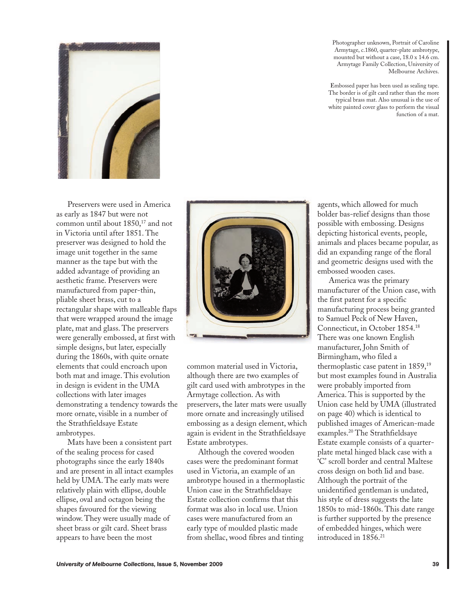

Preservers were used in America as early as 1847 but were not common until about 1850,<sup>17</sup> and not in Victoria until after 1851. The preserver was designed to hold the image unit together in the same manner as the tape but with the added advantage of providing an aesthetic frame. Preservers were manufactured from paper-thin, pliable sheet brass, cut to a rectangular shape with malleable flaps that were wrapped around the image plate, mat and glass. The preservers were generally embossed, at first with simple designs, but later, especially during the 1860s, with quite ornate elements that could encroach upon both mat and image. This evolution in design is evident in the UMA collections with later images demonstrating a tendency towards the more ornate, visible in a number of the Strathfieldsaye Estate ambrotypes.

Mats have been a consistent part of the sealing process for cased photographs since the early 1840s and are present in all intact examples held by UMA. The early mats were relatively plain with ellipse, double ellipse, oval and octagon being the shapes favoured for the viewing window. They were usually made of sheet brass or gilt card. Sheet brass appears to have been the most



common material used in Victoria, although there are two examples of gilt card used with ambrotypes in the Armytage collection. As with preservers, the later mats were usually more ornate and increasingly utilised embossing as a design element, which again is evident in the Strathfieldsaye Estate ambrotypes.

Although the covered wooden cases were the predominant format used in Victoria, an example of an ambrotype housed in a thermoplastic Union case in the Strathfieldsaye Estate collection confirms that this format was also in local use. Union cases were manufactured from an early type of moulded plastic made from shellac, wood fibres and tinting

Photographer unknown, Portrait of Caroline Armytage, c.1860, quarter-plate ambrotype, mounted but without a case, 18.0 x 14.6 cm. Armytage Family Collection, University of Melbourne Archives.

**E**mbossed paper has been used as sealing tape. The border is of gilt card rather than the more typical brass mat. Also unusual is the use of white painted cover glass to perform the visual function of a mat.

agents, which allowed for much bolder bas-relief designs than those possible with embossing. Designs depicting historical events, people, animals and places became popular, as did an expanding range of the floral and geometric designs used with the embossed wooden cases.

America was the primary manufacturer of the Union case, with the first patent for a specific manufacturing process being granted to Samuel Peck of New Haven, Connecticut, in October 1854.18 There was one known English manufacturer, John Smith of Birmingham, who filed a thermoplastic case patent in 1859,19 but most examples found in Australia were probably imported from America. This is supported by the Union case held by UMA (illustrated on page 40) which is identical to published images of American-made examples.20 The Strathfieldsaye Estate example consists of a quarterplate metal hinged black case with a 'C' scroll border and central Maltese cross design on both lid and base. Although the portrait of the unidentified gentleman is undated, his style of dress suggests the late 1850s to mid-1860s. This date range is further supported by the presence of embedded hinges, which were introduced in 1856.<sup>21</sup>